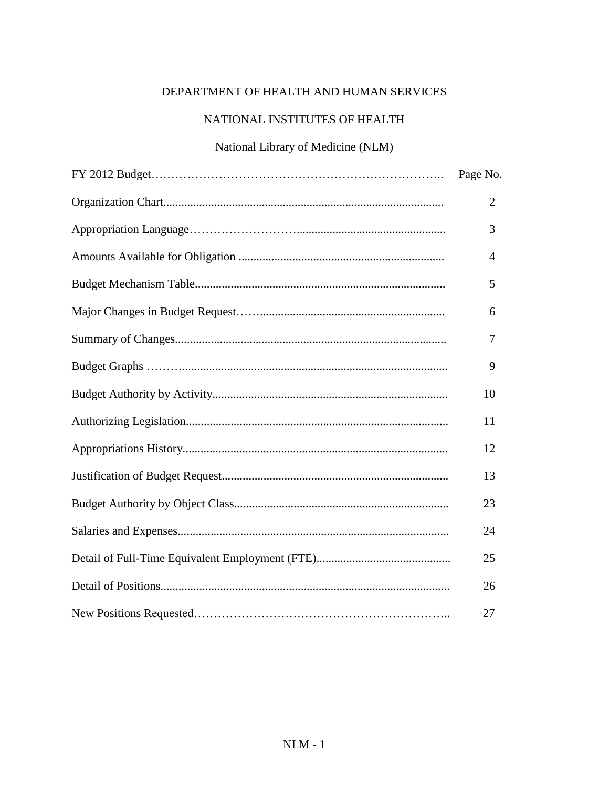#### DEPARTMENT OF HEALTH AND HUMAN SERVICES

#### NATIONAL INSTITUTES OF HEALTH

#### National Library of Medicine (NLM)

| Page No.       |
|----------------|
| $\overline{2}$ |
| 3              |
| $\overline{4}$ |
| 5              |
| 6              |
| 7              |
| 9              |
| 10             |
| 11             |
| 12             |
| 13             |
| 23             |
| 24             |
| 25             |
| 26             |
| 27             |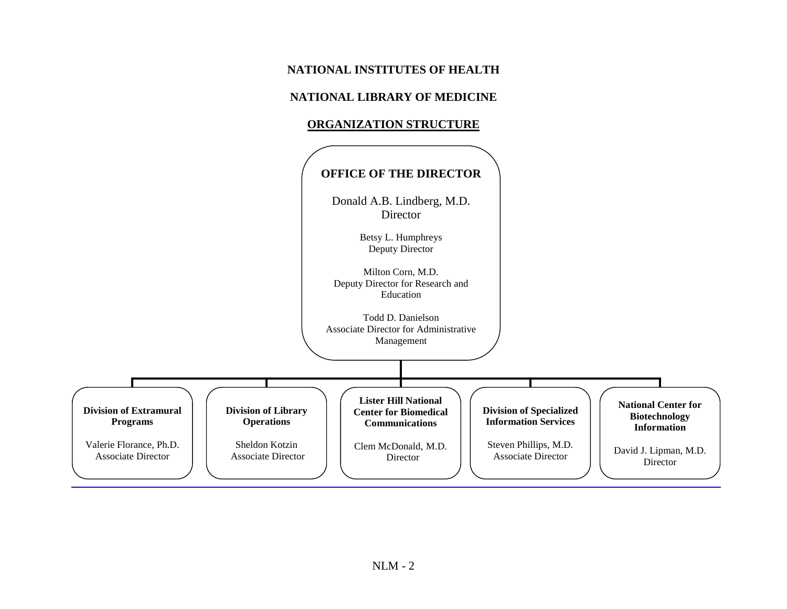#### **NATIONAL INSTITUTES OF HEALTH**

#### **NATIONAL LIBRARY OF MEDICINE**

#### **ORGANIZATION STRUCTURE**

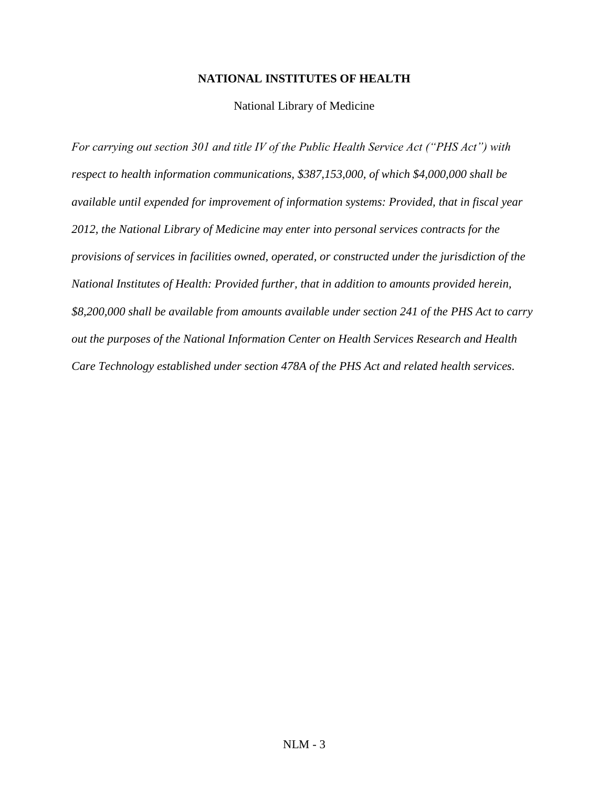#### **NATIONAL INSTITUTES OF HEALTH**

#### National Library of Medicine

*For carrying out section 301 and title IV of the Public Health Service Act ("PHS Act") with respect to health information communications, \$387,153,000, of which \$4,000,000 shall be available until expended for improvement of information systems: Provided, that in fiscal year 2012, the National Library of Medicine may enter into personal services contracts for the provisions of services in facilities owned, operated, or constructed under the jurisdiction of the National Institutes of Health: Provided further, that in addition to amounts provided herein, \$8,200,000 shall be available from amounts available under section 241 of the PHS Act to carry out the purposes of the National Information Center on Health Services Research and Health Care Technology established under section 478A of the PHS Act and related health services.*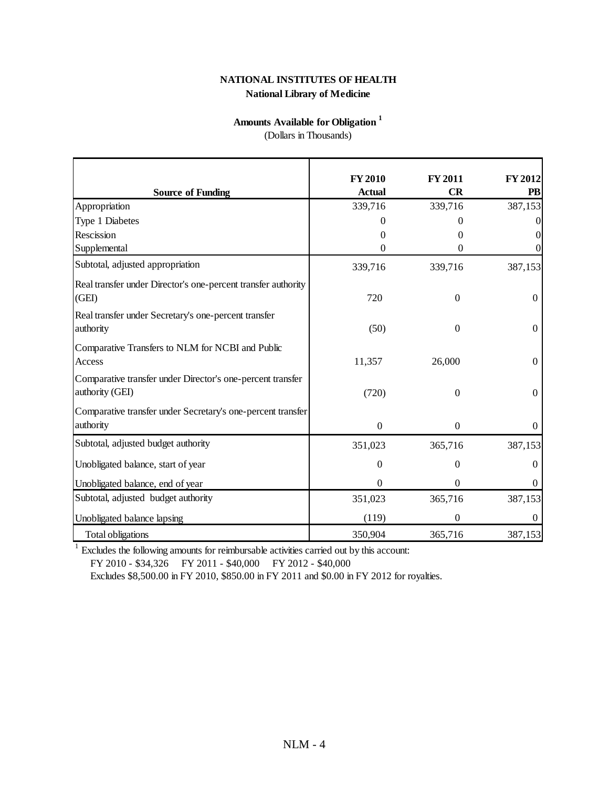#### **National Library of Medicine NATIONAL INSTITUTES OF HEALTH**

#### **Amounts Available for Obligation <sup>1</sup>**

(Dollars in Thousands)

|                                                                               | <b>FY 2010</b> | <b>FY 2011</b> | FY 2012        |
|-------------------------------------------------------------------------------|----------------|----------------|----------------|
| <b>Source of Funding</b>                                                      | <b>Actual</b>  | <b>CR</b>      | PB             |
| Appropriation                                                                 | 339,716        | 339,716        | 387,153        |
| Type 1 Diabetes                                                               | 0              | $\mathbf{0}$   |                |
| Rescission                                                                    | $\Omega$       | 0              |                |
| Supplemental                                                                  | $\overline{0}$ | $\overline{0}$ |                |
| Subtotal, adjusted appropriation                                              | 339,716        | 339,716        | 387,153        |
| Real transfer under Director's one-percent transfer authority<br>(GEI)        | 720            | $\overline{0}$ | $\Omega$       |
| Real transfer under Secretary's one-percent transfer<br>authority             | (50)           | $\overline{0}$ | $\Omega$       |
| Comparative Transfers to NLM for NCBI and Public<br>Access                    | 11,357         | 26,000         | $\overline{0}$ |
| Comparative transfer under Director's one-percent transfer<br>authority (GEI) | (720)          | $\overline{0}$ | $\Omega$       |
| Comparative transfer under Secretary's one-percent transfer                   |                |                |                |
| authority                                                                     | $\mathbf{0}$   | $\Omega$       | $\theta$       |
| Subtotal, adjusted budget authority                                           | 351,023        | 365,716        | 387,153        |
| Unobligated balance, start of year                                            | $\theta$       | $\theta$       | $\Omega$       |
| Unobligated balance, end of year                                              | 0              | $\Omega$       | $\Omega$       |
| Subtotal, adjusted budget authority                                           | 351,023        | 365,716        | 387,153        |
| Unobligated balance lapsing                                                   | (119)          | $\theta$       | $\Omega$       |
| <b>Total obligations</b>                                                      | 350,904        | 365,716        | 387,153        |

 $1$  Excludes the following amounts for reimbursable activities carried out by this account:

FY 2010 - \$34,326 FY 2011 - \$40,000 FY 2012 - \$40,000

Excludes \$8,500.00 in FY 2010, \$850.00 in FY 2011 and \$0.00 in FY 2012 for royalties.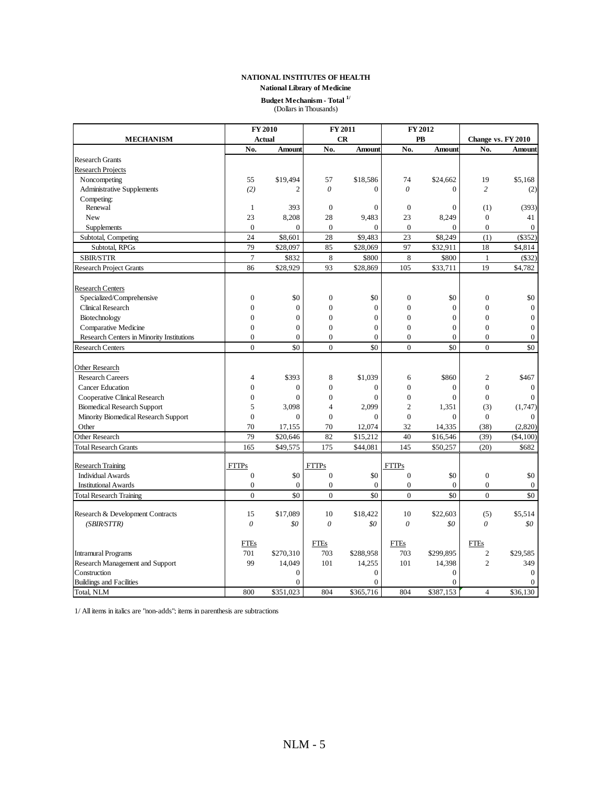#### **NATIONAL INSTITUTES OF HEALTH NATIONAL INSTITUTES OF HEALTH**

**National Library of Medicine National Library of Medicine**

### **BUDGET SOF HEALTH**<br> **Budget Mechanism - Total <sup>1/</sup><br>
Collers in Thousands) Budget Mechanism - Total**  $^{1/2}$  (Dollars in Thousands)

|                                           |                  | <b>FY 2010</b> |                  | FY 2011        |                  | FY 2012          |                    |                |
|-------------------------------------------|------------------|----------------|------------------|----------------|------------------|------------------|--------------------|----------------|
| <b>MECHANISM</b>                          |                  | <b>Actual</b>  |                  | CR             |                  | PB               | Change vs. FY 2010 |                |
|                                           | No.              | Amount         | No.              | Amount         | No.              | Amount           | No.                | Amount         |
| <b>Research Grants</b>                    |                  |                |                  |                |                  |                  |                    |                |
| <b>Research Projects</b>                  |                  |                |                  |                |                  |                  |                    |                |
| Noncompeting                              | 55               | \$19,494       | 57               | \$18,586       | 74               | \$24,662         | 19                 | \$5,168        |
| <b>Administrative Supplements</b>         | (2)              | $\overline{2}$ | $\theta$         | $\theta$       | $\theta$         | $\overline{0}$   | $\overline{c}$     | (2)            |
| Competing:                                |                  |                |                  |                |                  |                  |                    |                |
| Renewal                                   | 1                | 393            | $\boldsymbol{0}$ | $\mathbf{0}$   | $\mathbf{0}$     | $\boldsymbol{0}$ | (1)                | (393)          |
| New                                       | 23               | 8,208          | 28               | 9,483          | 23               | 8,249            | $\mathbf{0}$       | 41             |
| Supplements                               | $\mathbf{0}$     | $\overline{0}$ | $\mathbf{0}$     | $\overline{0}$ | $\mathbf{0}$     | $\overline{0}$   | $\mathbf{0}$       | $\overline{0}$ |
| Subtotal, Competing                       | 24               | \$8,601        | 28               | \$9,483        | 23               | \$8,249          | (1)                | (\$352)        |
| Subtotal, RPGs                            | 79               | \$28,097       | 85               | \$28,069       | 97               | \$32,911         | 18                 | \$4,814        |
| SBIR/STTR                                 | $\overline{7}$   | \$832          | 8                | \$800          | $\,8\,$          | \$800            | $\mathbf{1}$       | (\$32)         |
| <b>Research Project Grants</b>            | 86               | \$28,929       | 93               | \$28,869       | 105              | \$33,711         | 19                 | \$4,782        |
| <b>Research Centers</b>                   |                  |                |                  |                |                  |                  |                    |                |
| Specialized/Comprehensive                 | $\boldsymbol{0}$ | \$0            | $\mathbf{0}$     | \$0            | $\theta$         | \$0              | $\mathbf{0}$       | \$0            |
| Clinical Research                         | $\overline{0}$   | $\overline{0}$ | $\overline{0}$   | $\mathbf{0}$   | $\overline{0}$   | $\mathbf{0}$     | $\overline{0}$     | $\mathbf{0}$   |
| Biotechnology                             | $\theta$         | $\overline{0}$ | $\theta$         | $\theta$       | $\theta$         | $\theta$         | $\Omega$           | $\mathbf{0}$   |
| Comparative Medicine                      | $\overline{0}$   | $\mathbf{0}$   | $\overline{0}$   | $\mathbf{0}$   | $\theta$         | $\overline{0}$   | $\mathbf{0}$       | $\mathbf{0}$   |
| Research Centers in Minority Institutions | $\overline{0}$   | $\overline{0}$ | $\Omega$         | $\overline{0}$ | $\overline{0}$   | $\overline{0}$   | $\overline{0}$     | $\mathbf{0}$   |
| <b>Research Centers</b>                   | $\theta$         | \$0            | $\theta$         | \$0            | $\overline{0}$   | \$0              | $\theta$           | \$0            |
| <b>Other Research</b>                     |                  |                |                  |                |                  |                  |                    |                |
| <b>Research Careers</b>                   | $\overline{4}$   | \$393          | 8                | \$1,039        | 6                | \$860            | $\overline{c}$     | \$467          |
| <b>Cancer Education</b>                   | $\overline{0}$   | $\overline{0}$ | $\overline{0}$   | $\mathbf{0}$   | $\overline{0}$   | $\mathbf{0}$     | $\overline{0}$     | $\Omega$       |
| Cooperative Clinical Research             | $\boldsymbol{0}$ | $\mathbf{0}$   | $\mathbf{0}$     | $\mathbf{0}$   | $\boldsymbol{0}$ | $\boldsymbol{0}$ | $\boldsymbol{0}$   | $\Omega$       |
| <b>Biomedical Research Support</b>        | 5                | 3,098          | $\overline{4}$   | 2,099          | $\overline{2}$   | 1,351            | (3)                | (1,747)        |
| Minority Biomedical Research Support      | $\overline{0}$   | $\overline{0}$ | $\overline{0}$   | $\overline{0}$ | $\theta$         | $\overline{0}$   | $\boldsymbol{0}$   |                |
| Other                                     | 70               | 17,155         | 70               | 12,074         | 32               | 14,335           | (38)               | (2,820)        |
| Other Research                            | 79               | \$20,646       | 82               | \$15,212       | 40               | \$16,546         | (39)               | $(\$4,100)$    |
| <b>Total Research Grants</b>              | 165              | \$49,575       | 175              | \$44,081       | 145              | \$50,257         | (20)               | \$682          |
| <b>Research Training</b>                  | <b>FTTPs</b>     |                | <b>FTTPs</b>     |                | <b>FTTPs</b>     |                  |                    |                |
| <b>Individual Awards</b>                  | $\overline{0}$   | \$0            | $\overline{0}$   | \$0            | $\theta$         | \$0              | $\overline{0}$     | \$0            |
| <b>Institutional Awards</b>               | $\boldsymbol{0}$ | $\overline{0}$ | $\boldsymbol{0}$ | $\theta$       | $\mathbf{0}$     | $\mathbf{0}$     | $\boldsymbol{0}$   | $\overline{0}$ |
| <b>Total Research Training</b>            | $\theta$         | \$0            | $\theta$         | \$0            | $\theta$         | \$0              | $\theta$           | \$0            |
|                                           |                  |                |                  |                |                  |                  |                    |                |
| Research & Development Contracts          | 15               | \$17,089       | 10               | \$18,422       | 10               | \$22,603         | (5)                | \$5,514        |
| (SBIR/STTR)                               | 0                | \$0            | $\theta$         | \$0            | $\theta$         | \$0              | 0                  | \$0            |
|                                           | <b>FTEs</b>      |                | <b>FTEs</b>      |                | <b>FTEs</b>      |                  | <b>FTEs</b>        |                |
| <b>Intramural Programs</b>                | 701              | \$270,310      | 703              | \$288,958      | 703              | \$299,895        | $\overline{c}$     | \$29,585       |
| Research Management and Support           | 99               | 14,049         | 101              | 14,255         | 101              | 14,398           | $\mathbf{2}$       | 349            |
| Construction                              |                  | $\overline{0}$ |                  | $\overline{0}$ |                  | $\theta$         |                    | $\Omega$       |
| <b>Buildings and Facilities</b>           |                  | $\theta$       |                  | $\mathbf{0}$   |                  | $\mathbf{0}$     |                    | $\mathbf{0}$   |
| Total, NLM                                | 800              | \$351,023      | 804              | \$365,716      | 804              | \$387,153        | $\overline{4}$     | \$36,130       |

1/ All items in italics are "non-adds"; items in parenthesis are subtractions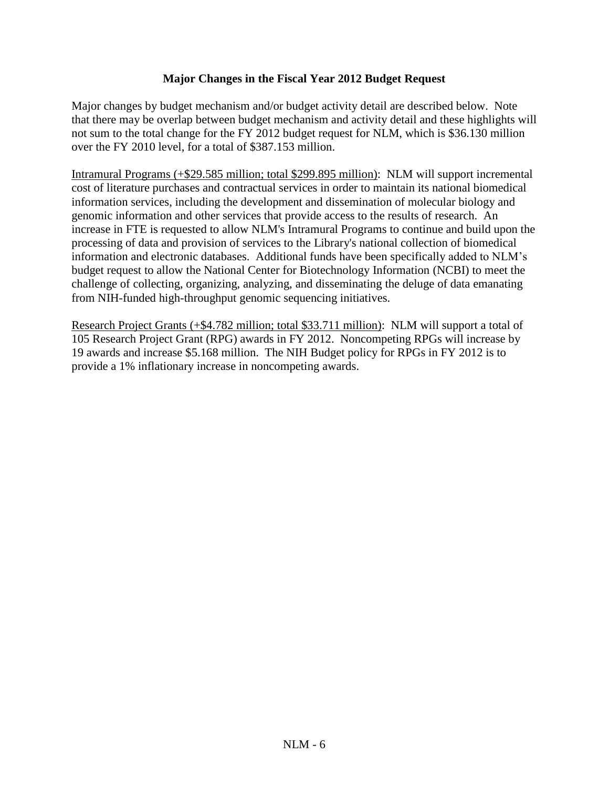#### **Major Changes in the Fiscal Year 2012 Budget Request**

Major changes by budget mechanism and/or budget activity detail are described below. Note that there may be overlap between budget mechanism and activity detail and these highlights will not sum to the total change for the FY 2012 budget request for NLM, which is \$36.130 million over the FY 2010 level, for a total of \$387.153 million.

Intramural Programs (+\$29.585 million; total \$299.895 million): NLM will support incremental cost of literature purchases and contractual services in order to maintain its national biomedical information services, including the development and dissemination of molecular biology and genomic information and other services that provide access to the results of research. An increase in FTE is requested to allow NLM's Intramural Programs to continue and build upon the processing of data and provision of services to the Library's national collection of biomedical information and electronic databases. Additional funds have been specifically added to NLM's budget request to allow the National Center for Biotechnology Information (NCBI) to meet the challenge of collecting, organizing, analyzing, and disseminating the deluge of data emanating from NIH-funded high-throughput genomic sequencing initiatives.

Research Project Grants (+\$4.782 million; total \$33.711 million): NLM will support a total of 105 Research Project Grant (RPG) awards in FY 2012. Noncompeting RPGs will increase by 19 awards and increase \$5.168 million. The NIH Budget policy for RPGs in FY 2012 is to provide a 1% inflationary increase in noncompeting awards.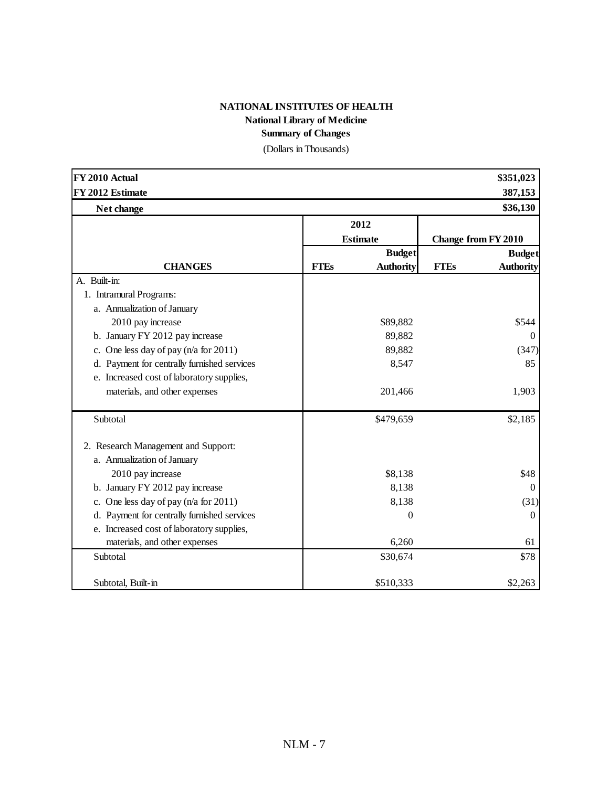#### **NATIONAL INSTITUTES OF HEALTH National Library of Medicine Summary of Changes**

(Dollars in Thousands)

| FY 2010 Actual                              |             |                  |             | \$351,023                  |
|---------------------------------------------|-------------|------------------|-------------|----------------------------|
| FY 2012 Estimate                            |             |                  |             | 387,153                    |
| Net change                                  |             |                  |             | \$36,130                   |
|                                             |             | 2012             |             |                            |
|                                             |             | <b>Estimate</b>  |             | <b>Change from FY 2010</b> |
|                                             |             | <b>Budget</b>    |             | <b>Budget</b>              |
| <b>CHANGES</b>                              | <b>FTEs</b> | <b>Authority</b> | <b>FTEs</b> | <b>Authority</b>           |
| A. Built-in:                                |             |                  |             |                            |
| 1. Intramural Programs:                     |             |                  |             |                            |
| a. Annualization of January                 |             |                  |             |                            |
| 2010 pay increase                           |             | \$89,882         |             | \$544                      |
| b. January FY 2012 pay increase             |             | 89,882           |             | $\mathbf{0}$               |
| c. One less day of pay (n/a for 2011)       |             | 89,882           |             | (347)                      |
| d. Payment for centrally furnished services |             | 8,547            |             | 85                         |
| e. Increased cost of laboratory supplies,   |             |                  |             |                            |
| materials, and other expenses               |             | 201,466          |             | 1,903                      |
| Subtotal                                    |             | \$479,659        |             | \$2,185                    |
| 2. Research Management and Support:         |             |                  |             |                            |
| a. Annualization of January                 |             |                  |             |                            |
| 2010 pay increase                           |             | \$8,138          |             | \$48                       |
| b. January FY 2012 pay increase             |             | 8,138            |             | $\Omega$                   |
| c. One less day of pay $(n/a$ for 2011)     |             | 8,138            |             | (31)                       |
| d. Payment for centrally furnished services |             | 0                |             | $\boldsymbol{0}$           |
| e. Increased cost of laboratory supplies,   |             |                  |             |                            |
| materials, and other expenses               |             | 6,260            |             | 61                         |
| Subtotal                                    |             | \$30,674         |             | \$78                       |
| Subtotal. Built-in                          |             | \$510,333        |             | \$2,263                    |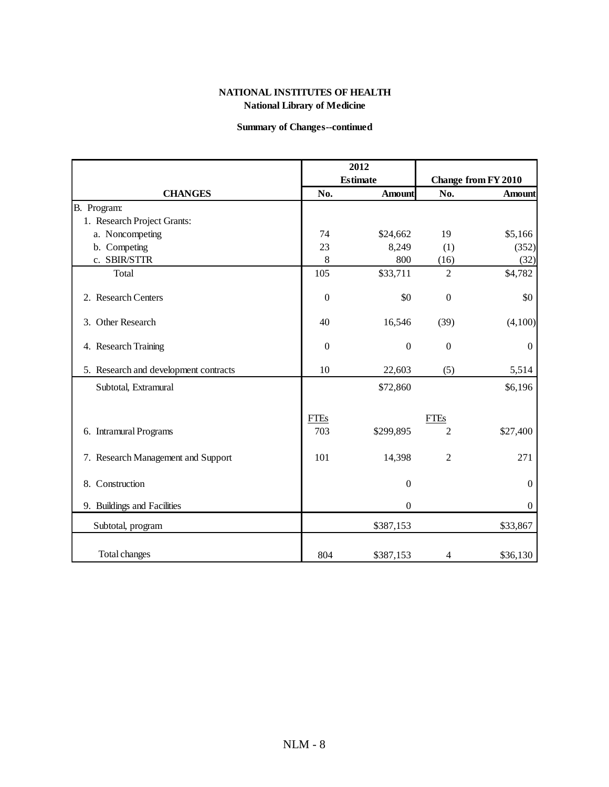#### **NATIONAL INSTITUTES OF HEALTH National Library of Medicine**

#### **Summary of Changes--continued**

|                                       |              | 2012             |                  |                     |
|---------------------------------------|--------------|------------------|------------------|---------------------|
|                                       |              | <b>Estimate</b>  |                  | Change from FY 2010 |
| <b>CHANGES</b>                        | No.          | <b>Amount</b>    | No.              | <b>Amount</b>       |
| B. Program:                           |              |                  |                  |                     |
| 1. Research Project Grants:           |              |                  |                  |                     |
| a. Noncompeting                       | 74           | \$24,662         | 19               | \$5,166             |
| b. Competing                          | 23           | 8,249            | (1)              | (352)               |
| c. SBIR/STTR                          | 8            | 800              | (16)             | (32)                |
| Total                                 | 105          | \$33,711         | $\overline{c}$   | \$4,782             |
| 2. Research Centers                   | $\mathbf{0}$ | \$0              | $\boldsymbol{0}$ | \$0                 |
| 3. Other Research                     | 40           | 16,546           | (39)             | (4,100)             |
| 4. Research Training                  | $\mathbf{0}$ | $\boldsymbol{0}$ | $\boldsymbol{0}$ | $\boldsymbol{0}$    |
| 5. Research and development contracts | 10           | 22,603           | (5)              | 5,514               |
| Subtotal, Extramural                  |              | \$72,860         |                  | \$6,196             |
|                                       | <b>FTEs</b>  |                  | <b>FTEs</b>      |                     |
| 6. Intramural Programs                | 703          | \$299,895        | $\overline{2}$   | \$27,400            |
| 7. Research Management and Support    | 101          | 14,398           | $\overline{2}$   | 271                 |
| 8. Construction                       |              | $\boldsymbol{0}$ |                  | $\boldsymbol{0}$    |
| 9. Buildings and Facilities           |              | $\boldsymbol{0}$ |                  | $\mathbf{0}$        |
| Subtotal, program                     |              | \$387,153        |                  | \$33,867            |
| Total changes                         | 804          | \$387,153        | $\overline{4}$   | \$36,130            |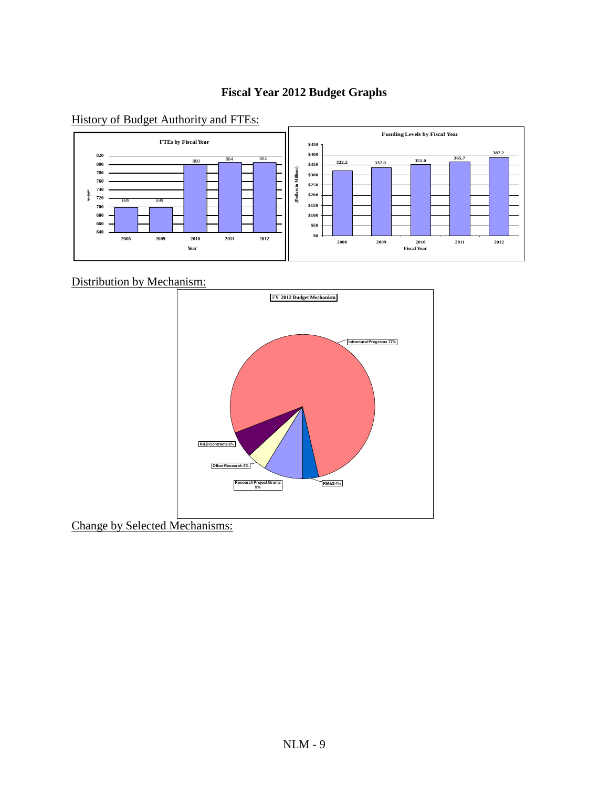#### **Fiscal Year 2012 Budget Graphs**

#### History of Budget Authority and FTEs:



Distribution by Mechanism:



Change by Selected Mechanisms: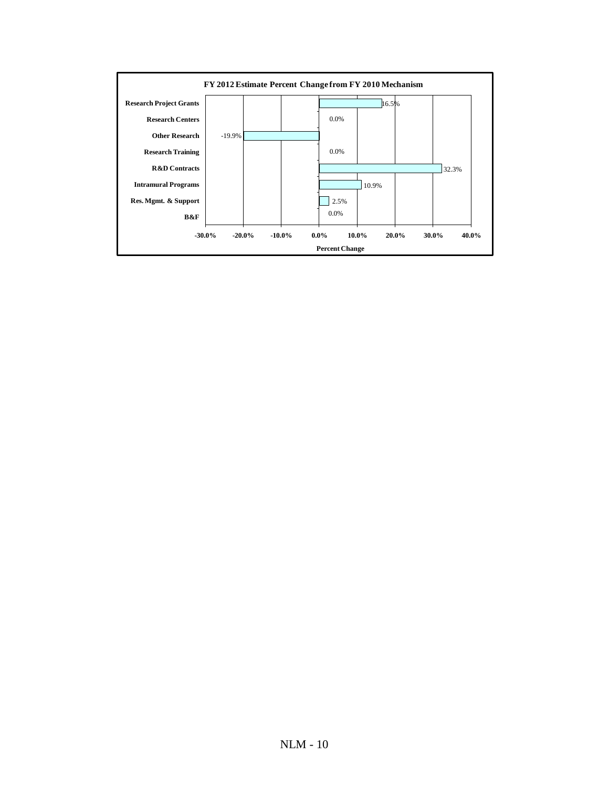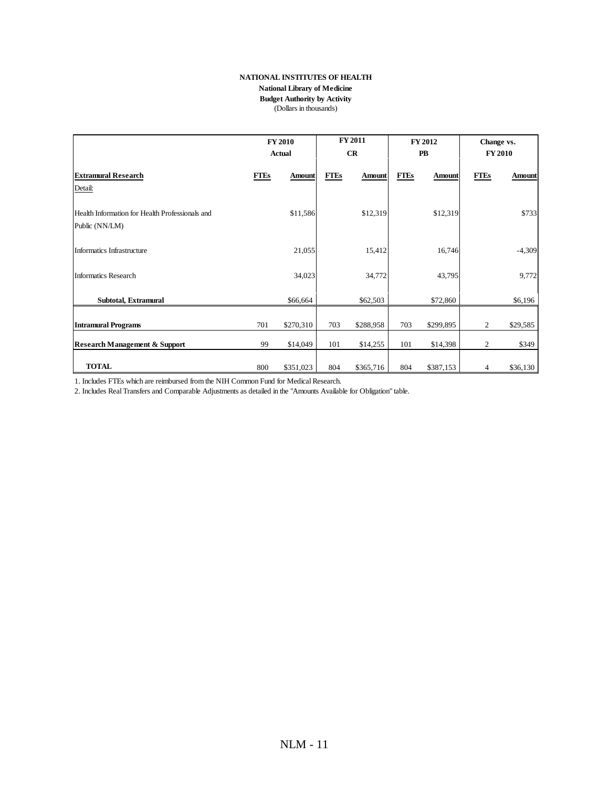#### **NATIONAL INSTITUTES OF HEALTH**

#### **National Library of Medicine**

**Budget Authority by Activity**

(Dollars in thousands)

|                                                                   | <b>FY 2010</b><br><b>Actual</b> |               | <b>FY 2011</b><br><b>FY 2012</b><br>CR<br>PB |               | Change vs.<br><b>FY 2010</b> |               |             |               |
|-------------------------------------------------------------------|---------------------------------|---------------|----------------------------------------------|---------------|------------------------------|---------------|-------------|---------------|
| <b>Extramural Research</b><br>Detail:                             | <b>FTEs</b>                     | <b>Amount</b> | <b>FTEs</b>                                  | <b>Amount</b> | <b>FTEs</b>                  | <b>Amount</b> | <b>FTEs</b> | <b>Amount</b> |
| Health Information for Health Professionals and<br>Public (NN/LM) |                                 | \$11,586      |                                              | \$12,319      |                              | \$12,319      |             | \$733         |
| Informatics Infrastructure                                        |                                 | 21,055        |                                              | 15,412        |                              | 16,746        |             | $-4,309$      |
| <b>Informatics Research</b>                                       |                                 | 34,023        |                                              | 34,772        |                              | 43,795        |             | 9,772         |
| Subtotal, Extramural                                              |                                 | \$66,664      |                                              | \$62,503      |                              | \$72,860      |             | \$6,196       |
| <b>Intramural Programs</b>                                        | 701                             | \$270,310     | 703                                          | \$288,958     | 703                          | \$299,895     | 2           | \$29,585      |
| <b>Research Management &amp; Support</b>                          | 99                              | \$14,049      | 101                                          | \$14,255      | 101                          | \$14,398      | 2           | \$349         |
| <b>TOTAL</b>                                                      | 800                             | \$351,023     | 804                                          | \$365,716     | 804                          | \$387,153     | 4           | \$36,130      |

1. Includes FTEs which are reimbursed from the NIH Common Fund for Medical Research.

2. Includes Real Transfers and Comparable Adjustments as detailed in the "Amounts Available for Obligation" table.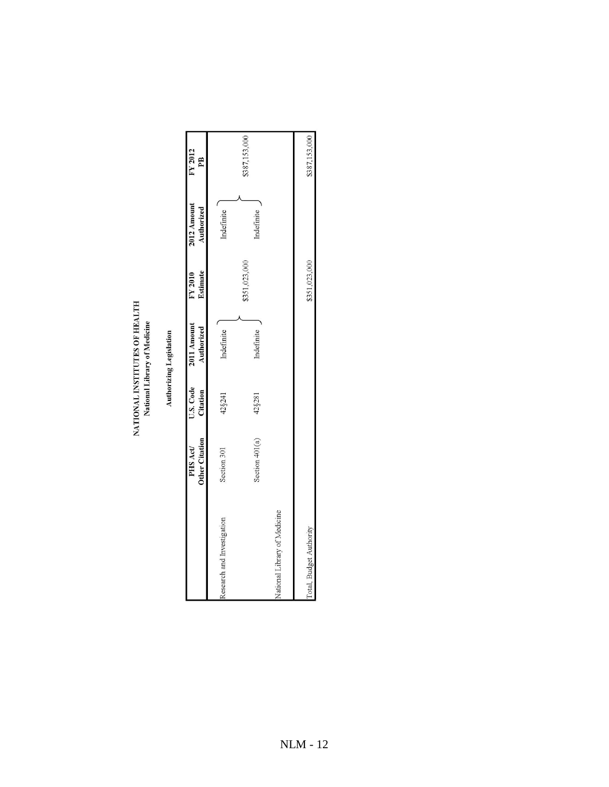# NATIONAL INSTITUTES OF HEALTH<br>National Library of Medicine

## **Authorizing Legislation**

|                              | Other Citation Citation<br>PHS Act/ | U.S. Code | 2011 Amount<br>Authorized | Estimate<br>FY 2010 | 2012 Amount<br>Authorized | FY 2012<br>PB |
|------------------------------|-------------------------------------|-----------|---------------------------|---------------------|---------------------------|---------------|
| Research and Investigation   | Section 301                         | 42§241    | Indefinite                |                     | Indefinite                |               |
|                              | Section 401(a)                      | 42§281    | Indefinite                | \$351,023,000       | Indefinite                | \$387,153,000 |
| National Library of Medicine |                                     |           |                           |                     |                           |               |
| Total, Budget Authority      |                                     |           |                           | \$351,023,000       |                           | \$387,153,000 |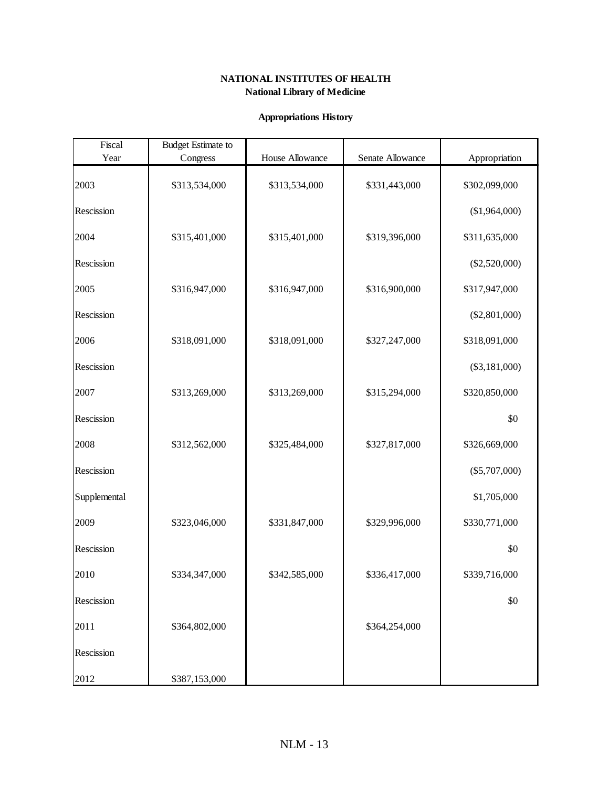#### **NATIONAL INSTITUTES OF HEALTH National Library of Medicine**

#### **Appropriations History**

| Fiscal       | <b>Budget Estimate to</b> |                 |                  |                 |
|--------------|---------------------------|-----------------|------------------|-----------------|
| Year         | Congress                  | House Allowance | Senate Allowance | Appropriation   |
| 2003         | \$313,534,000             | \$313,534,000   | \$331,443,000    | \$302,099,000   |
| Rescission   |                           |                 |                  | (\$1,964,000)   |
| 2004         | \$315,401,000             | \$315,401,000   | \$319,396,000    | \$311,635,000   |
| Rescission   |                           |                 |                  | $(\$2,520,000)$ |
| 2005         | \$316,947,000             | \$316,947,000   | \$316,900,000    | \$317,947,000   |
| Rescission   |                           |                 |                  | $(\$2,801,000)$ |
| 2006         | \$318,091,000             | \$318,091,000   | \$327,247,000    | \$318,091,000   |
| Rescission   |                           |                 |                  | $(\$3,181,000)$ |
| 2007         | \$313,269,000             | \$313,269,000   | \$315,294,000    | \$320,850,000   |
| Rescission   |                           |                 |                  | \$0             |
| 2008         | \$312,562,000             | \$325,484,000   | \$327,817,000    | \$326,669,000   |
| Rescission   |                           |                 |                  | $(\$5,707,000)$ |
| Supplemental |                           |                 |                  | \$1,705,000     |
| 2009         | \$323,046,000             | \$331,847,000   | \$329,996,000    | \$330,771,000   |
| Rescission   |                           |                 |                  | \$0             |
| 2010         | \$334,347,000             | \$342,585,000   | \$336,417,000    | \$339,716,000   |
| Rescission   |                           |                 |                  | \$0             |
| 2011         | \$364,802,000             |                 | \$364,254,000    |                 |
| Rescission   |                           |                 |                  |                 |
| 2012         | \$387,153,000             |                 |                  |                 |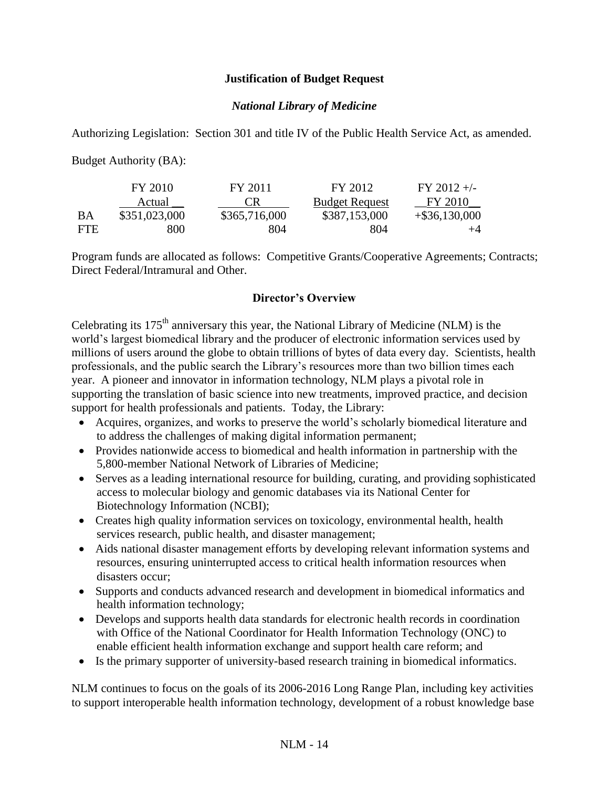#### **Justification of Budget Request**

#### *National Library of Medicine*

Authorizing Legislation: Section 301 and title IV of the Public Health Service Act, as amended.

Budget Authority (BA):

|            | FY 2010       | FY 2011       | FY 2012               | $FY$ 2012 +/-    |
|------------|---------------|---------------|-----------------------|------------------|
|            | Actual        | CК            | <b>Budget Request</b> | FY 2010          |
| ВA         | \$351,023,000 | \$365,716,000 | \$387,153,000         | $+$ \$36,130,000 |
| <b>FTE</b> | 800           | 804           | 804                   | $+4$             |

Program funds are allocated as follows: Competitive Grants/Cooperative Agreements; Contracts; Direct Federal/Intramural and Other.

#### **Director's Overview**

Celebrating its 175th anniversary this year, the National Library of Medicine (NLM) is the world's largest biomedical library and the producer of electronic information services used by millions of users around the globe to obtain trillions of bytes of data every day. Scientists, health professionals, and the public search the Library's resources more than two billion times each year. A pioneer and innovator in information technology, NLM plays a pivotal role in supporting the translation of basic science into new treatments, improved practice, and decision support for health professionals and patients. Today, the Library:

- Acquires, organizes, and works to preserve the world's scholarly biomedical literature and to address the challenges of making digital information permanent;
- Provides nationwide access to biomedical and health information in partnership with the 5,800-member National Network of Libraries of Medicine;
- Serves as a leading international resource for building, curating, and providing sophisticated access to molecular biology and genomic databases via its National Center for Biotechnology Information (NCBI);
- Creates high quality information services on toxicology, environmental health, health services research, public health, and disaster management;
- Aids national disaster management efforts by developing relevant information systems and resources, ensuring uninterrupted access to critical health information resources when disasters occur;
- Supports and conducts advanced research and development in biomedical informatics and health information technology;
- Develops and supports health data standards for electronic health records in coordination with Office of the National Coordinator for Health Information Technology (ONC) to enable efficient health information exchange and support health care reform; and
- Is the primary supporter of university-based research training in biomedical informatics.

NLM continues to focus on the goals of its 2006-2016 Long Range Plan, including key activities to support interoperable health information technology, development of a robust knowledge base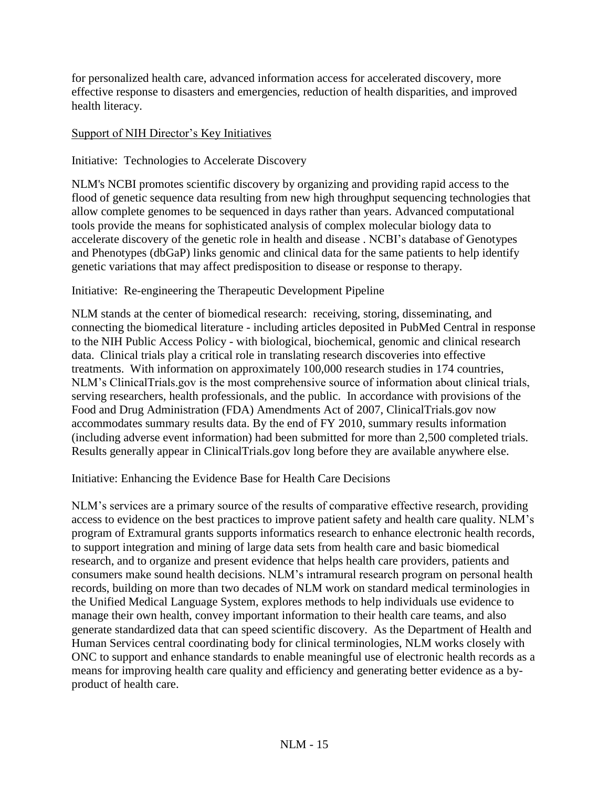for personalized health care, advanced information access for accelerated discovery, more effective response to disasters and emergencies, reduction of health disparities, and improved health literacy.

#### Support of NIH Director's Key Initiatives

#### Initiative: Technologies to Accelerate Discovery

NLM's NCBI promotes scientific discovery by organizing and providing rapid access to the flood of genetic sequence data resulting from new high throughput sequencing technologies that allow complete genomes to be sequenced in days rather than years. Advanced computational tools provide the means for sophisticated analysis of complex molecular biology data to accelerate discovery of the genetic role in health and disease . NCBI's database of Genotypes and Phenotypes (dbGaP) links genomic and clinical data for the same patients to help identify genetic variations that may affect predisposition to disease or response to therapy.

#### Initiative: Re-engineering the Therapeutic Development Pipeline

NLM stands at the center of biomedical research: receiving, storing, disseminating, and connecting the biomedical literature - including articles deposited in PubMed Central in response to the NIH Public Access Policy - with biological, biochemical, genomic and clinical research data. Clinical trials play a critical role in translating research discoveries into effective treatments. With information on approximately 100,000 research studies in 174 countries, NLM's ClinicalTrials.gov is the most comprehensive source of information about clinical trials, serving researchers, health professionals, and the public. In accordance with provisions of the Food and Drug Administration (FDA) Amendments Act of 2007, ClinicalTrials.gov now accommodates summary results data. By the end of FY 2010, summary results information (including adverse event information) had been submitted for more than 2,500 completed trials. Results generally appear in ClinicalTrials.gov long before they are available anywhere else.

Initiative: Enhancing the Evidence Base for Health Care Decisions

NLM's services are a primary source of the results of comparative effective research, providing access to evidence on the best practices to improve patient safety and health care quality. NLM's program of Extramural grants supports informatics research to enhance electronic health records, to support integration and mining of large data sets from health care and basic biomedical research, and to organize and present evidence that helps health care providers, patients and consumers make sound health decisions. NLM's intramural research program on personal health records, building on more than two decades of NLM work on standard medical terminologies in the Unified Medical Language System, explores methods to help individuals use evidence to manage their own health, convey important information to their health care teams, and also generate standardized data that can speed scientific discovery. As the Department of Health and Human Services central coordinating body for clinical terminologies, NLM works closely with ONC to support and enhance standards to enable meaningful use of electronic health records as a means for improving health care quality and efficiency and generating better evidence as a byproduct of health care.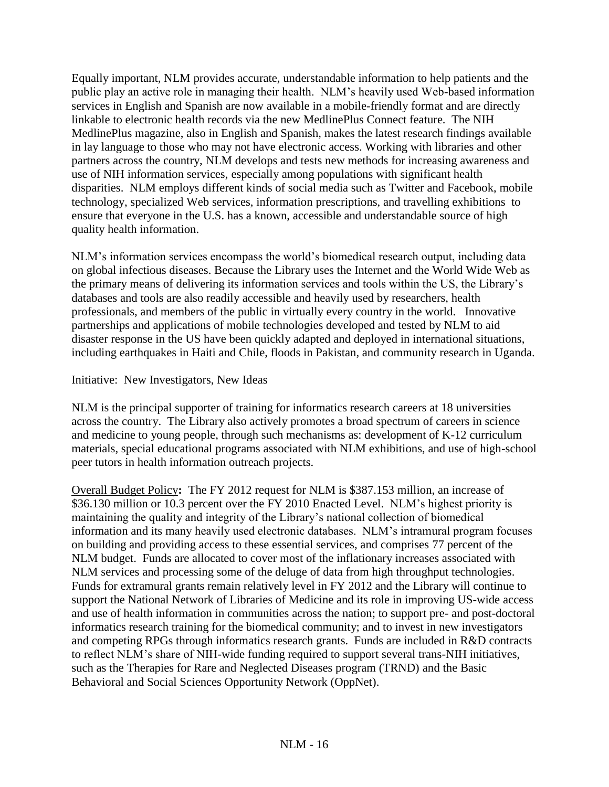Equally important, NLM provides accurate, understandable information to help patients and the public play an active role in managing their health. NLM's heavily used Web-based information services in English and Spanish are now available in a mobile-friendly format and are directly linkable to electronic health records via the new MedlinePlus Connect feature. The NIH MedlinePlus magazine, also in English and Spanish, makes the latest research findings available in lay language to those who may not have electronic access. Working with libraries and other partners across the country, NLM develops and tests new methods for increasing awareness and use of NIH information services, especially among populations with significant health disparities. NLM employs different kinds of social media such as Twitter and Facebook, mobile technology, specialized Web services, information prescriptions, and travelling exhibitions to ensure that everyone in the U.S. has a known, accessible and understandable source of high quality health information.

NLM's information services encompass the world's biomedical research output, including data on global infectious diseases. Because the Library uses the Internet and the World Wide Web as the primary means of delivering its information services and tools within the US, the Library's databases and tools are also readily accessible and heavily used by researchers, health professionals, and members of the public in virtually every country in the world. Innovative partnerships and applications of mobile technologies developed and tested by NLM to aid disaster response in the US have been quickly adapted and deployed in international situations, including earthquakes in Haiti and Chile, floods in Pakistan, and community research in Uganda.

Initiative: New Investigators, New Ideas

NLM is the principal supporter of training for informatics research careers at 18 universities across the country. The Library also actively promotes a broad spectrum of careers in science and medicine to young people, through such mechanisms as: development of K-12 curriculum materials, special educational programs associated with NLM exhibitions, and use of high-school peer tutors in health information outreach projects.

Overall Budget Policy**:** The FY 2012 request for NLM is \$387.153 million, an increase of \$36.130 million or 10.3 percent over the FY 2010 Enacted Level. NLM's highest priority is maintaining the quality and integrity of the Library's national collection of biomedical information and its many heavily used electronic databases. NLM's intramural program focuses on building and providing access to these essential services, and comprises 77 percent of the NLM budget. Funds are allocated to cover most of the inflationary increases associated with NLM services and processing some of the deluge of data from high throughput technologies. Funds for extramural grants remain relatively level in FY 2012 and the Library will continue to support the National Network of Libraries of Medicine and its role in improving US-wide access and use of health information in communities across the nation; to support pre- and post-doctoral informatics research training for the biomedical community; and to invest in new investigators and competing RPGs through informatics research grants. Funds are included in R&D contracts to reflect NLM's share of NIH-wide funding required to support several trans-NIH initiatives, such as the Therapies for Rare and Neglected Diseases program (TRND) and the Basic Behavioral and Social Sciences Opportunity Network (OppNet).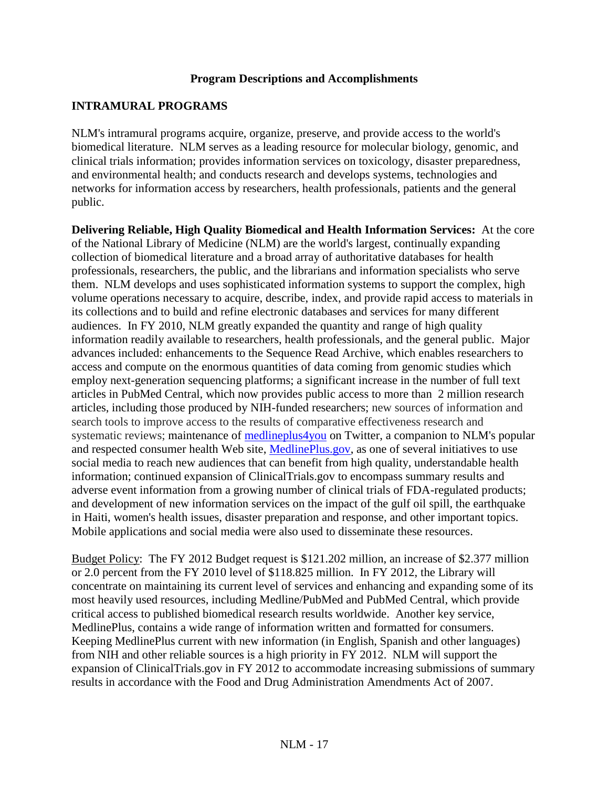#### **Program Descriptions and Accomplishments**

#### **INTRAMURAL PROGRAMS**

NLM's intramural programs acquire, organize, preserve, and provide access to the world's biomedical literature. NLM serves as a leading resource for molecular biology, genomic, and clinical trials information; provides information services on toxicology, disaster preparedness, and environmental health; and conducts research and develops systems, technologies and networks for information access by researchers, health professionals, patients and the general public.

**Delivering Reliable, High Quality Biomedical and Health Information Services:** At the core of the National Library of Medicine (NLM) are the world's largest, continually expanding collection of biomedical literature and a broad array of authoritative databases for health professionals, researchers, the public, and the librarians and information specialists who serve them. NLM develops and uses sophisticated information systems to support the complex, high volume operations necessary to acquire, describe, index, and provide rapid access to materials in its collections and to build and refine electronic databases and services for many different audiences. In FY 2010, NLM greatly expanded the quantity and range of high quality information readily available to researchers, health professionals, and the general public. Major advances included: enhancements to the Sequence Read Archive, which enables researchers to access and compute on the enormous quantities of data coming from genomic studies which employ next-generation sequencing platforms; a significant increase in the number of full text articles in PubMed Central, which now provides public access to more than 2 million research articles, including those produced by NIH-funded researchers; new sources of information and search tools to improve access to the results of comparative effectiveness research and systematic reviews; maintenance of [medlineplus4you](http://twitter.com/medlineplus4you) on Twitter, a companion to NLM's popular and respected consumer health Web site, [MedlinePlus.gov,](http://www.medlineplus.gov/) as one of several initiatives to use social media to reach new audiences that can benefit from high quality, understandable health information; continued expansion of ClinicalTrials.gov to encompass summary results and adverse event information from a growing number of clinical trials of FDA-regulated products; and development of new information services on the impact of the gulf oil spill, the earthquake in Haiti, women's health issues, disaster preparation and response, and other important topics. Mobile applications and social media were also used to disseminate these resources.

Budget Policy: The FY 2012 Budget request is \$121.202 million, an increase of \$2.377 million or 2.0 percent from the FY 2010 level of \$118.825 million. In FY 2012, the Library will concentrate on maintaining its current level of services and enhancing and expanding some of its most heavily used resources, including Medline/PubMed and PubMed Central, which provide critical access to published biomedical research results worldwide. Another key service, MedlinePlus, contains a wide range of information written and formatted for consumers. Keeping MedlinePlus current with new information (in English, Spanish and other languages) from NIH and other reliable sources is a high priority in FY 2012. NLM will support the expansion of ClinicalTrials.gov in FY 2012 to accommodate increasing submissions of summary results in accordance with the Food and Drug Administration Amendments Act of 2007.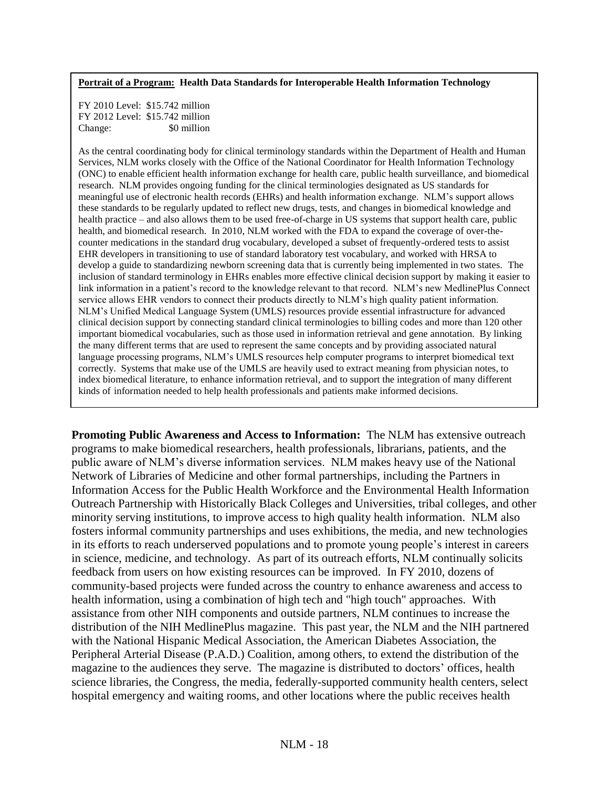#### **Portrait of a Program: Health Data Standards for Interoperable Health Information Technology**

FY 2010 Level: \$15.742 million FY 2012 Level: \$15.742 million Change:  $\frac{1}{20}$  S0 million

As the central coordinating body for clinical terminology standards within the Department of Health and Human Services, NLM works closely with the Office of the National Coordinator for Health Information Technology (ONC) to enable efficient health information exchange for health care, public health surveillance, and biomedical research. NLM provides ongoing funding for the clinical terminologies designated as US standards for meaningful use of electronic health records (EHRs) and health information exchange. NLM's support allows these standards to be regularly updated to reflect new drugs, tests, and changes in biomedical knowledge and health practice – and also allows them to be used free-of-charge in US systems that support health care, public health, and biomedical research. In 2010, NLM worked with the FDA to expand the coverage of over-thecounter medications in the standard drug vocabulary, developed a subset of frequently-ordered tests to assist EHR developers in transitioning to use of standard laboratory test vocabulary, and worked with HRSA to develop a guide to standardizing newborn screening data that is currently being implemented in two states. The inclusion of standard terminology in EHRs enables more effective clinical decision support by making it easier to link information in a patient's record to the knowledge relevant to that record. NLM's new MedlinePlus Connect service allows EHR vendors to connect their products directly to NLM's high quality patient information. NLM's Unified Medical Language System (UMLS) resources provide essential infrastructure for advanced clinical decision support by connecting standard clinical terminologies to billing codes and more than 120 other important biomedical vocabularies, such as those used in information retrieval and gene annotation. By linking the many different terms that are used to represent the same concepts and by providing associated natural language processing programs, NLM's UMLS resources help computer programs to interpret biomedical text correctly. Systems that make use of the UMLS are heavily used to extract meaning from physician notes, to index biomedical literature, to enhance information retrieval, and to support the integration of many different kinds of information needed to help health professionals and patients make informed decisions.

**Promoting Public Awareness and Access to Information:** The NLM has extensive outreach programs to make biomedical researchers, health professionals, librarians, patients, and the public aware of NLM's diverse information services. NLM makes heavy use of the National Network of Libraries of Medicine and other formal partnerships, including the Partners in Information Access for the Public Health Workforce and the Environmental Health Information Outreach Partnership with Historically Black Colleges and Universities, tribal colleges, and other minority serving institutions, to improve access to high quality health information. NLM also fosters informal community partnerships and uses exhibitions, the media, and new technologies in its efforts to reach underserved populations and to promote young people's interest in careers in science, medicine, and technology. As part of its outreach efforts, NLM continually solicits feedback from users on how existing resources can be improved. In FY 2010, dozens of community-based projects were funded across the country to enhance awareness and access to health information, using a combination of high tech and "high touch" approaches. With assistance from other NIH components and outside partners, NLM continues to increase the distribution of the NIH MedlinePlus magazine. This past year, the NLM and the NIH partnered with the National Hispanic Medical Association, the American Diabetes Association, the Peripheral Arterial Disease (P.A.D.) Coalition, among others, to extend the distribution of the magazine to the audiences they serve. The magazine is distributed to doctors' offices, health science libraries, the Congress, the media, federally-supported community health centers, select hospital emergency and waiting rooms, and other locations where the public receives health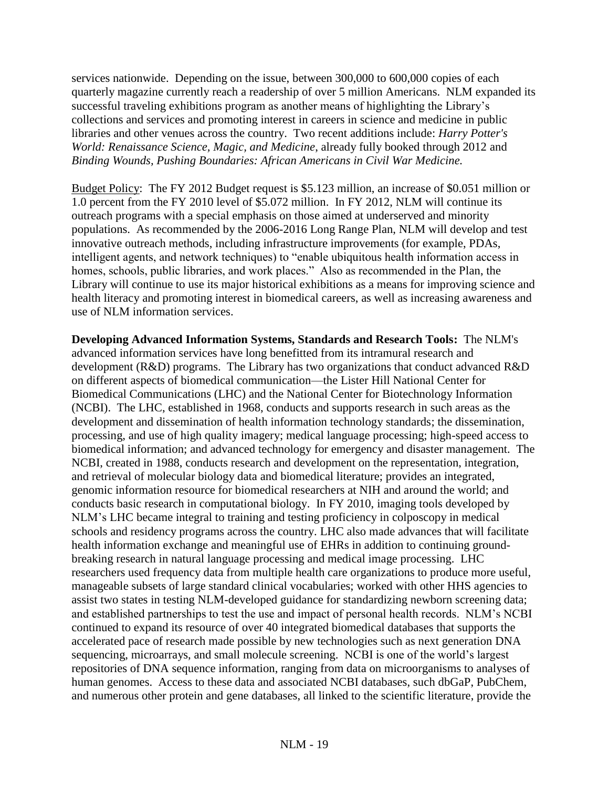services nationwide. Depending on the issue, between 300,000 to 600,000 copies of each quarterly magazine currently reach a readership of over 5 million Americans. NLM expanded its successful traveling exhibitions program as another means of highlighting the Library's collections and services and promoting interest in careers in science and medicine in public libraries and other venues across the country. Two recent additions include: *Harry Potter's World: Renaissance Science, Magic, and Medicine*, already fully booked through 2012 and *Binding Wounds, Pushing Boundaries: African Americans in Civil War Medicine.*

Budget Policy: The FY 2012 Budget request is \$5.123 million, an increase of \$0.051 million or 1.0 percent from the FY 2010 level of \$5.072 million. In FY 2012, NLM will continue its outreach programs with a special emphasis on those aimed at underserved and minority populations. As recommended by the 2006-2016 Long Range Plan, NLM will develop and test innovative outreach methods, including infrastructure improvements (for example, PDAs, intelligent agents, and network techniques) to "enable ubiquitous health information access in homes, schools, public libraries, and work places." Also as recommended in the Plan, the Library will continue to use its major historical exhibitions as a means for improving science and health literacy and promoting interest in biomedical careers, as well as increasing awareness and use of NLM information services.

**Developing Advanced Information Systems, Standards and Research Tools:** The NLM's advanced information services have long benefitted from its intramural research and development (R&D) programs. The Library has two organizations that conduct advanced R&D on different aspects of biomedical communication—the Lister Hill National Center for Biomedical Communications (LHC) and the National Center for Biotechnology Information (NCBI). The LHC, established in 1968, conducts and supports research in such areas as the development and dissemination of health information technology standards; the dissemination, processing, and use of high quality imagery; medical language processing; high-speed access to biomedical information; and advanced technology for emergency and disaster management. The NCBI, created in 1988, conducts research and development on the representation, integration, and retrieval of molecular biology data and biomedical literature; provides an integrated, genomic information resource for biomedical researchers at NIH and around the world; and conducts basic research in computational biology. In FY 2010, imaging tools developed by NLM's LHC became integral to training and testing proficiency in colposcopy in medical schools and residency programs across the country. LHC also made advances that will facilitate health information exchange and meaningful use of EHRs in addition to continuing groundbreaking research in natural language processing and medical image processing. LHC researchers used frequency data from multiple health care organizations to produce more useful, manageable subsets of large standard clinical vocabularies; worked with other HHS agencies to assist two states in testing NLM-developed guidance for standardizing newborn screening data; and established partnerships to test the use and impact of personal health records. NLM's NCBI continued to expand its resource of over 40 integrated biomedical databases that supports the accelerated pace of research made possible by new technologies such as next generation DNA sequencing, microarrays, and small molecule screening. NCBI is one of the world's largest repositories of DNA sequence information, ranging from data on microorganisms to analyses of human genomes. Access to these data and associated NCBI databases, such dbGaP, PubChem, and numerous other protein and gene databases, all linked to the scientific literature, provide the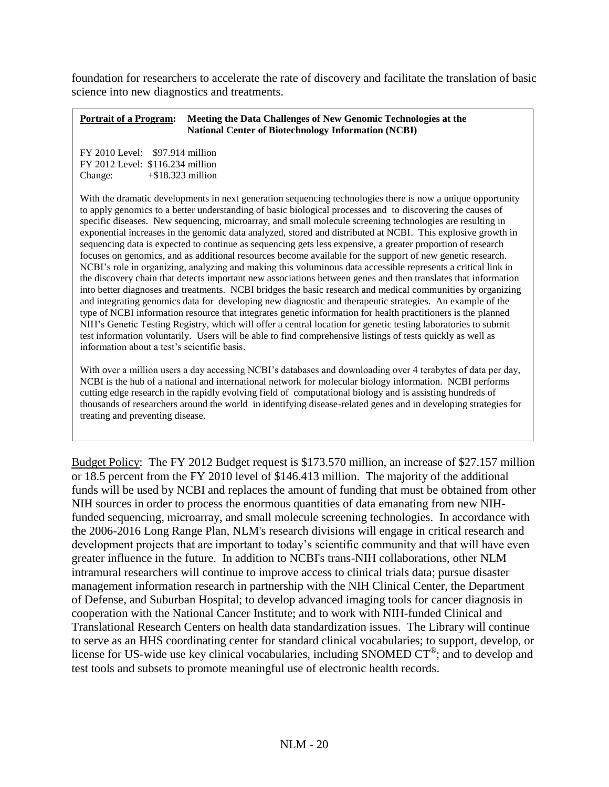foundation for researchers to accelerate the rate of discovery and facilitate the translation of basic science into new diagnostics and treatments.

#### **Portrait of a Program: Meeting the Data Challenges of New Genomic Technologies at the National Center of Biotechnology Information (NCBI)**

FY 2010 Level: \$97.914 million FY 2012 Level: \$116.234 million Change: +\$18.323 million

With the dramatic developments in next generation sequencing technologies there is now a unique opportunity to apply genomics to a better understanding of basic biological processes and to discovering the causes of specific diseases. New sequencing, microarray, and small molecule screening technologies are resulting in exponential increases in the genomic data analyzed, stored and distributed at NCBI. This explosive growth in sequencing data is expected to continue as sequencing gets less expensive, a greater proportion of research focuses on genomics, and as additional resources become available for the support of new genetic research. NCBI's role in organizing, analyzing and making this voluminous data accessible represents a critical link in the discovery chain that detects important new associations between genes and then translates that information into better diagnoses and treatments. NCBI bridges the basic research and medical communities by organizing and integrating genomics data for developing new diagnostic and therapeutic strategies. An example of the type of NCBI information resource that integrates genetic information for health practitioners is the planned NIH's Genetic Testing Registry, which will offer a central location for genetic testing laboratories to submit test information voluntarily. Users will be able to find comprehensive listings of tests quickly as well as information about a test's scientific basis.

With over a million users a day accessing NCBI's databases and downloading over 4 terabytes of data per day, NCBI is the hub of a national and international network for molecular biology information. NCBI performs cutting edge research in the rapidly evolving field of computational biology and is assisting hundreds of thousands of researchers around the world in identifying disease-related genes and in developing strategies for treating and preventing disease.

Budget Policy: The FY 2012 Budget request is \$173.570 million, an increase of \$27.157 million or 18.5 percent from the FY 2010 level of \$146.413 million. The majority of the additional funds will be used by NCBI and replaces the amount of funding that must be obtained from other NIH sources in order to process the enormous quantities of data emanating from new NIHfunded sequencing, microarray, and small molecule screening technologies. In accordance with the 2006-2016 Long Range Plan, NLM's research divisions will engage in critical research and development projects that are important to today's scientific community and that will have even greater influence in the future. In addition to NCBI's trans-NIH collaborations, other NLM intramural researchers will continue to improve access to clinical trials data; pursue disaster management information research in partnership with the NIH Clinical Center, the Department of Defense, and Suburban Hospital; to develop advanced imaging tools for cancer diagnosis in cooperation with the National Cancer Institute; and to work with NIH-funded Clinical and Translational Research Centers on health data standardization issues. The Library will continue to serve as an HHS coordinating center for standard clinical vocabularies; to support, develop, or license for US-wide use key clinical vocabularies, including SNOMED  $CT^{\circledast}$ ; and to develop and test tools and subsets to promote meaningful use of electronic health records.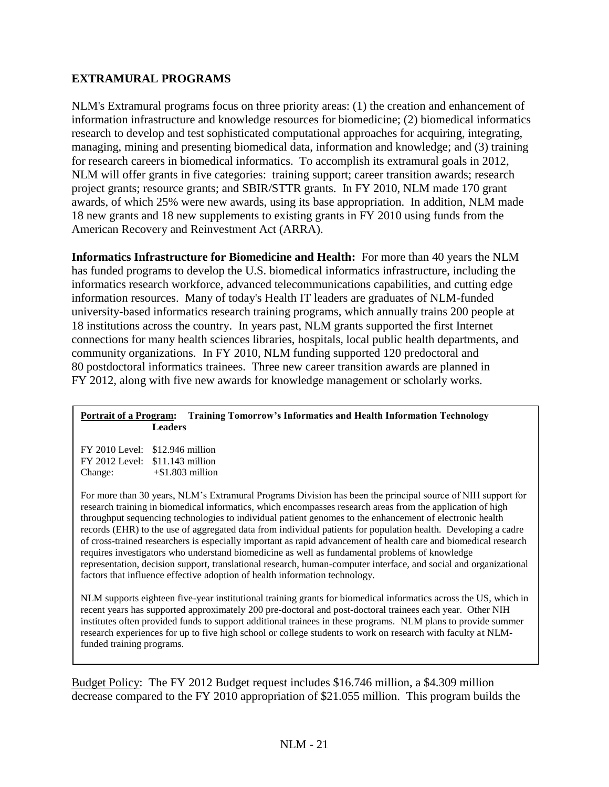#### **EXTRAMURAL PROGRAMS**

NLM's Extramural programs focus on three priority areas: (1) the creation and enhancement of information infrastructure and knowledge resources for biomedicine; (2) biomedical informatics research to develop and test sophisticated computational approaches for acquiring, integrating, managing, mining and presenting biomedical data, information and knowledge; and (3) training for research careers in biomedical informatics. To accomplish its extramural goals in 2012, NLM will offer grants in five categories: training support; career transition awards; research project grants; resource grants; and SBIR/STTR grants. In FY 2010, NLM made 170 grant awards, of which 25% were new awards, using its base appropriation. In addition, NLM made 18 new grants and 18 new supplements to existing grants in FY 2010 using funds from the American Recovery and Reinvestment Act (ARRA).

**Informatics Infrastructure for Biomedicine and Health:** For more than 40 years the NLM has funded programs to develop the U.S. biomedical informatics infrastructure, including the informatics research workforce, advanced telecommunications capabilities, and cutting edge information resources. Many of today's Health IT leaders are graduates of NLM-funded university-based informatics research training programs, which annually trains 200 people at 18 institutions across the country. In years past, NLM grants supported the first Internet connections for many health sciences libraries, hospitals, local public health departments, and community organizations. In FY 2010, NLM funding supported 120 predoctoral and 80 postdoctoral informatics trainees. Three new career transition awards are planned in FY 2012, along with five new awards for knowledge management or scholarly works.

#### **Portrait of a Program: Training Tomorrow's Informatics and Health Information Technology Leaders**

| $FY$ 2010 Level: $$12.946$ million |                    |
|------------------------------------|--------------------|
| $FY$ 2012 Level: $$11.143$ million |                    |
| Change:                            | $+\$1.803$ million |

For more than 30 years, NLM's Extramural Programs Division has been the principal source of NIH support for research training in biomedical informatics, which encompasses research areas from the application of high throughput sequencing technologies to individual patient genomes to the enhancement of electronic health records (EHR) to the use of aggregated data from individual patients for population health. Developing a cadre of cross-trained researchers is especially important as rapid advancement of health care and biomedical research requires investigators who understand biomedicine as well as fundamental problems of knowledge representation, decision support, translational research, human-computer interface, and social and organizational factors that influence effective adoption of health information technology.

NLM supports eighteen five-year institutional training grants for biomedical informatics across the US, which in recent years has supported approximately 200 pre-doctoral and post-doctoral trainees each year. Other NIH institutes often provided funds to support additional trainees in these programs. NLM plans to provide summer research experiences for up to five high school or college students to work on research with faculty at NLMfunded training programs.

Budget Policy: The FY 2012 Budget request includes \$16.746 million, a \$4.309 million decrease compared to the FY 2010 appropriation of \$21.055 million. This program builds the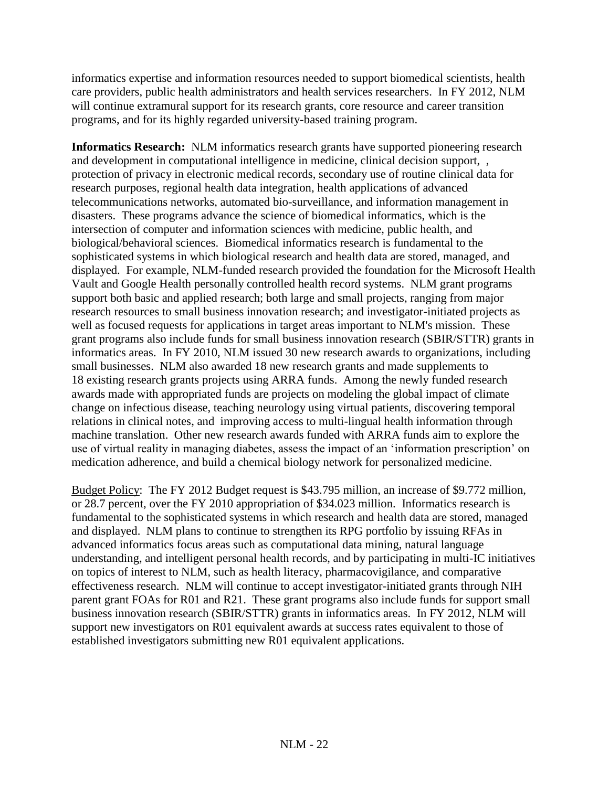informatics expertise and information resources needed to support biomedical scientists, health care providers, public health administrators and health services researchers. In FY 2012, NLM will continue extramural support for its research grants, core resource and career transition programs, and for its highly regarded university-based training program.

**Informatics Research:** NLM informatics research grants have supported pioneering research and development in computational intelligence in medicine, clinical decision support, , protection of privacy in electronic medical records, secondary use of routine clinical data for research purposes, regional health data integration, health applications of advanced telecommunications networks, automated bio-surveillance, and information management in disasters. These programs advance the science of biomedical informatics, which is the intersection of computer and information sciences with medicine, public health, and biological/behavioral sciences. Biomedical informatics research is fundamental to the sophisticated systems in which biological research and health data are stored, managed, and displayed. For example, NLM-funded research provided the foundation for the Microsoft Health Vault and Google Health personally controlled health record systems. NLM grant programs support both basic and applied research; both large and small projects, ranging from major research resources to small business innovation research; and investigator-initiated projects as well as focused requests for applications in target areas important to NLM's mission. These grant programs also include funds for small business innovation research (SBIR/STTR) grants in informatics areas. In FY 2010, NLM issued 30 new research awards to organizations, including small businesses. NLM also awarded 18 new research grants and made supplements to 18 existing research grants projects using ARRA funds. Among the newly funded research awards made with appropriated funds are projects on modeling the global impact of climate change on infectious disease, teaching neurology using virtual patients, discovering temporal relations in clinical notes, and improving access to multi-lingual health information through machine translation. Other new research awards funded with ARRA funds aim to explore the use of virtual reality in managing diabetes, assess the impact of an 'information prescription' on medication adherence, and build a chemical biology network for personalized medicine.

Budget Policy: The FY 2012 Budget request is \$43.795 million, an increase of \$9.772 million, or 28.7 percent, over the FY 2010 appropriation of \$34.023 million. Informatics research is fundamental to the sophisticated systems in which research and health data are stored, managed and displayed. NLM plans to continue to strengthen its RPG portfolio by issuing RFAs in advanced informatics focus areas such as computational data mining, natural language understanding, and intelligent personal health records, and by participating in multi-IC initiatives on topics of interest to NLM, such as health literacy, pharmacovigilance, and comparative effectiveness research. NLM will continue to accept investigator-initiated grants through NIH parent grant FOAs for R01 and R21. These grant programs also include funds for support small business innovation research (SBIR/STTR) grants in informatics areas. In FY 2012, NLM will support new investigators on R01 equivalent awards at success rates equivalent to those of established investigators submitting new R01 equivalent applications.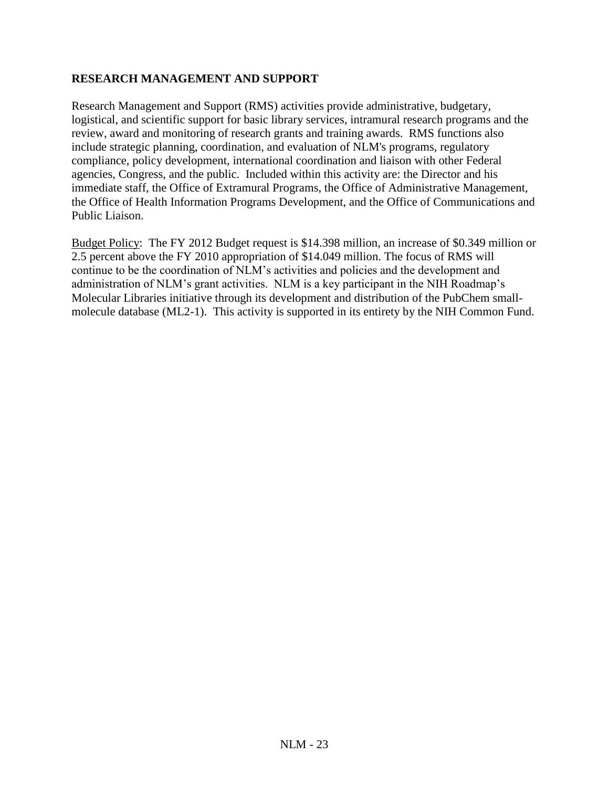#### **RESEARCH MANAGEMENT AND SUPPORT**

Research Management and Support (RMS) activities provide administrative, budgetary, logistical, and scientific support for basic library services, intramural research programs and the review, award and monitoring of research grants and training awards. RMS functions also include strategic planning, coordination, and evaluation of NLM's programs, regulatory compliance, policy development, international coordination and liaison with other Federal agencies, Congress, and the public. Included within this activity are: the Director and his immediate staff, the Office of Extramural Programs, the Office of Administrative Management, the Office of Health Information Programs Development, and the Office of Communications and Public Liaison.

Budget Policy: The FY 2012 Budget request is \$14.398 million, an increase of \$0.349 million or 2.5 percent above the FY 2010 appropriation of \$14.049 million. The focus of RMS will continue to be the coordination of NLM's activities and policies and the development and administration of NLM's grant activities. NLM is a key participant in the NIH Roadmap's Molecular Libraries initiative through its development and distribution of the PubChem smallmolecule database (ML2-1). This activity is supported in its entirety by the NIH Common Fund.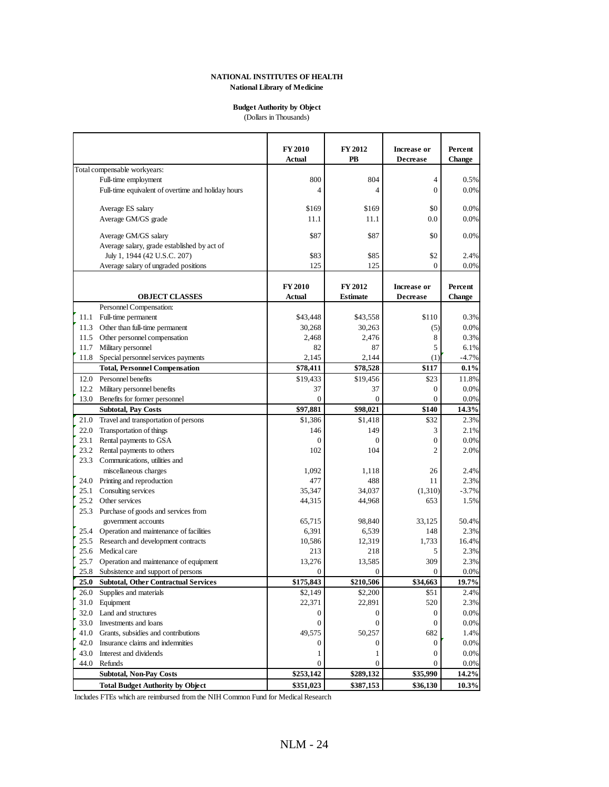#### **NATIONAL INSTITUTES OF HEALTH National Library of Medicine**

#### **Budget Authority by Object**

(Dollars in Thousands)

|      |                                                    | <b>FY 2010</b><br>Actual | <b>FY 2012</b><br>PB | <b>Increase or</b><br><b>Decrease</b> | Percent<br><b>Change</b> |
|------|----------------------------------------------------|--------------------------|----------------------|---------------------------------------|--------------------------|
|      | Total compensable workyears:                       |                          |                      |                                       |                          |
|      | Full-time employment                               | 800                      | 804                  | $\overline{4}$                        | 0.5%                     |
|      | Full-time equivalent of overtime and holiday hours | 4                        | 4                    | $\overline{0}$                        | 0.0%                     |
|      |                                                    |                          |                      |                                       |                          |
|      | Average ES salary                                  | \$169                    | \$169                | \$0                                   | 0.0%                     |
|      | Average GM/GS grade                                | 11.1                     | 11.1                 | 0.0                                   | 0.0%                     |
|      |                                                    |                          |                      |                                       |                          |
|      | Average GM/GS salary                               | \$87                     | \$87                 | \$0                                   | 0.0%                     |
|      | Average salary, grade established by act of        |                          |                      |                                       |                          |
|      | July 1, 1944 (42 U.S.C. 207)                       | \$83                     | \$85                 | \$2                                   | 2.4%                     |
|      | Average salary of ungraded positions               | 125                      | 125                  | $\mathbf{0}$                          | 0.0%                     |
|      |                                                    | <b>FY 2010</b>           | FY 2012              | Increase or                           | Percent                  |
|      | <b>OBJECT CLASSES</b>                              | Actual                   | <b>Estimate</b>      | <b>Decrease</b>                       | <b>Change</b>            |
|      | Personnel Compensation:                            |                          |                      |                                       |                          |
|      | 11.1 Full-time permanent                           | \$43,448                 | \$43,558             | \$110                                 | 0.3%                     |
|      | 11.3 Other than full-time permanent                | 30,268                   | 30,263               | (5)                                   | 0.0%                     |
|      | 11.5 Other personnel compensation                  | 2.468                    | 2,476                | 8                                     | 0.3%                     |
|      | 11.7 Military personnel                            | 82                       | 87                   | 5                                     | 6.1%                     |
|      | 11.8 Special personnel services payments           | 2,145                    | 2,144                | (1)                                   | $-4.7%$                  |
|      | <b>Total, Personnel Compensation</b>               | \$78,411                 | \$78,528             | \$117                                 | 0.1%                     |
|      | 12.0 Personnel benefits                            | \$19,433                 | \$19,456             | \$23                                  | 11.8%                    |
|      | 12.2 Military personnel benefits                   | 37                       | 37                   | $\overline{0}$                        | 0.0%                     |
| 13.0 | Benefits for former personnel                      | $\overline{0}$           | $\overline{0}$       | $\overline{0}$                        | 0.0%                     |
|      | <b>Subtotal, Pay Costs</b>                         | \$97,881                 | \$98,021             | \$140                                 | 14.3%                    |
| 21.0 | Travel and transportation of persons               | \$1,386                  | \$1,418              | \$32                                  | 2.3%                     |
| 22.0 | <b>Transportation of things</b>                    | 146                      | 149                  | 3                                     | 2.1%                     |
| 23.1 | Rental payments to GSA                             | $\overline{0}$           | $\mathbf{0}$         | $\mathbf{0}$                          | 0.0%                     |
| 23.2 | Rental payments to others                          | 102                      | 104                  | $\overline{2}$                        | 2.0%                     |
|      | 23.3 Communications, utilities and                 |                          |                      |                                       |                          |
|      | miscellaneous charges                              | 1,092                    | 1,118                | 26                                    | 2.4%                     |
| 24.0 | Printing and reproduction                          | 477                      | 488                  | 11                                    | 2.3%                     |
| 25.1 | Consulting services                                | 35,347                   | 34,037               | (1,310)                               | $-3.7%$                  |
|      | 25.2 Other services                                | 44,315                   | 44,968               | 653                                   | 1.5%                     |
| 25.3 | Purchase of goods and services from                |                          |                      |                                       |                          |
|      | government accounts                                | 65,715                   | 98,840               | 33,125                                | 50.4%                    |
|      | 25.4 Operation and maintenance of facilities       | 6,391                    | 6,539                | 148                                   | 2.3%                     |
| 25.5 | Research and development contracts                 | 10,586                   | 12,319               | 1,733                                 | 16.4%                    |
| 25.6 | Medical care                                       | 213                      | 218                  | 5                                     | 2.3%                     |
| 25.7 | Operation and maintenance of equipment             | 13,276                   | 13,585               | 309                                   | 2.3%                     |
|      | 25.8 Subsistence and support of persons            | $\overline{0}$           | $\mathbf{0}$         | $\mathbf{0}$                          | 0.0%                     |
| 25.0 | <b>Subtotal, Other Contractual Services</b>        | \$175,843                | \$210,506            | \$34,663                              | 19.7%                    |
| 26.0 | Supplies and materials                             | \$2,149                  | \$2,200              | \$51                                  | 2.4%                     |
|      | 31.0 Equipment                                     | 22,371                   | 22,891               | 520                                   | 2.3%                     |
|      | 32.0 Land and structures                           | 0                        | 0                    | $\boldsymbol{0}$                      | 0.0%                     |
|      | 33.0 Investments and loans                         | $\boldsymbol{0}$         | $\boldsymbol{0}$     | $\boldsymbol{0}$                      | 0.0%                     |
|      | 41.0 Grants, subsidies and contributions           | 49,575                   | 50,257               | 682                                   | 1.4%                     |
|      | 42.0 Insurance claims and indemnities              | 0                        | $\mathbf{0}$         | $\boldsymbol{0}$                      | 0.0%                     |
|      | 43.0 Interest and dividends                        | 1                        | 1                    | $\boldsymbol{0}$                      | 0.0%                     |
|      | 44.0 Refunds                                       | 0                        | $\mathbf{0}$         | $\boldsymbol{0}$                      | 0.0%                     |
|      | <b>Subtotal, Non-Pay Costs</b>                     | \$253,142                | \$289,132            | \$35,990                              | 14.2%                    |
|      | <b>Total Budget Authority by Object</b>            | \$351,023                | \$387,153            | \$36,130                              | 10.3%                    |

Includes FTEs which are reimbursed from the NIH Common Fund for Medical Research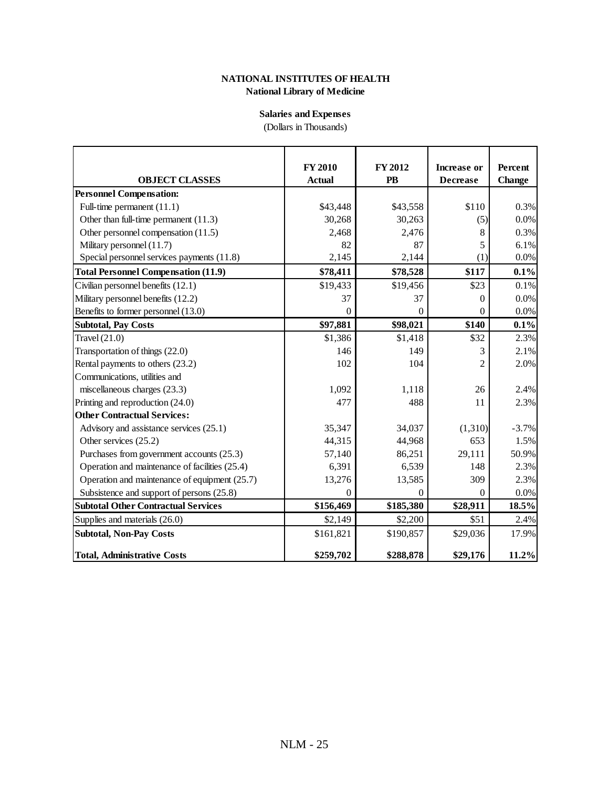#### **National Library of Medicine NATIONAL INSTITUTES OF HEALTH**

#### **Salaries and Expenses**

(Dollars in Thousands)

|                                                | <b>FY 2010</b> | <b>FY 2012</b> | <b>Increase or</b> | Percent       |
|------------------------------------------------|----------------|----------------|--------------------|---------------|
| <b>OBJECT CLASSES</b>                          | <b>Actual</b>  | <b>PB</b>      | <b>Decrease</b>    | <b>Change</b> |
| <b>Personnel Compensation:</b>                 |                |                |                    |               |
| Full-time permanent (11.1)                     | \$43,448       | \$43,558       | \$110              | 0.3%          |
| Other than full-time permanent $(11.3)$        | 30,268         | 30,263         | (5)                | 0.0%          |
| Other personnel compensation (11.5)            | 2,468          | 2,476          | 8                  | 0.3%          |
| Military personnel (11.7)                      | 82             | 87             | 5                  | 6.1%          |
| Special personnel services payments (11.8)     | 2,145          | 2,144          | (1)                | 0.0%          |
| <b>Total Personnel Compensation (11.9)</b>     | \$78,411       | \$78,528       | \$117              | 0.1%          |
| Civilian personnel benefits (12.1)             | \$19,433       | \$19,456       | \$23               | 0.1%          |
| Military personnel benefits (12.2)             | 37             | 37             | 0                  | 0.0%          |
| Benefits to former personnel (13.0)            | $\Omega$       | $\theta$       | $\theta$           | 0.0%          |
| <b>Subtotal, Pay Costs</b>                     | \$97,881       | \$98,021       | \$140              | 0.1%          |
| Travel $(21.0)$                                | \$1,386        | \$1,418        | \$32               | 2.3%          |
| Transportation of things (22.0)                | 146            | 149            |                    | 2.1%          |
| Rental payments to others (23.2)               | 102            | 104            | 2                  | 2.0%          |
| Communications, utilities and                  |                |                |                    |               |
| miscellaneous charges (23.3)                   | 1,092          | 1,118          | 26                 | 2.4%          |
| Printing and reproduction (24.0)               | 477            | 488            | 11                 | 2.3%          |
| <b>Other Contractual Services:</b>             |                |                |                    |               |
| Advisory and assistance services (25.1)        | 35,347         | 34,037         | (1,310)            | $-3.7%$       |
| Other services (25.2)                          | 44,315         | 44,968         | 653                | 1.5%          |
| Purchases from government accounts (25.3)      | 57,140         | 86,251         | 29,111             | 50.9%         |
| Operation and maintenance of facilities (25.4) | 6,391          | 6,539          | 148                | 2.3%          |
| Operation and maintenance of equipment (25.7)  | 13,276         | 13,585         | 309                | 2.3%          |
| Subsistence and support of persons (25.8)      | $\Omega$       | $\Omega$       | $\theta$           | 0.0%          |
| <b>Subtotal Other Contractual Services</b>     | \$156,469      | \$185,380      | \$28,911           | 18.5%         |
| Supplies and materials (26.0)                  | \$2,149        | \$2,200        | \$51               | 2.4%          |
| <b>Subtotal, Non-Pay Costs</b>                 | \$161,821      | \$190,857      | \$29,036           | 17.9%         |
| <b>Total, Administrative Costs</b>             | \$259,702      | \$288,878      | \$29,176           | 11.2%         |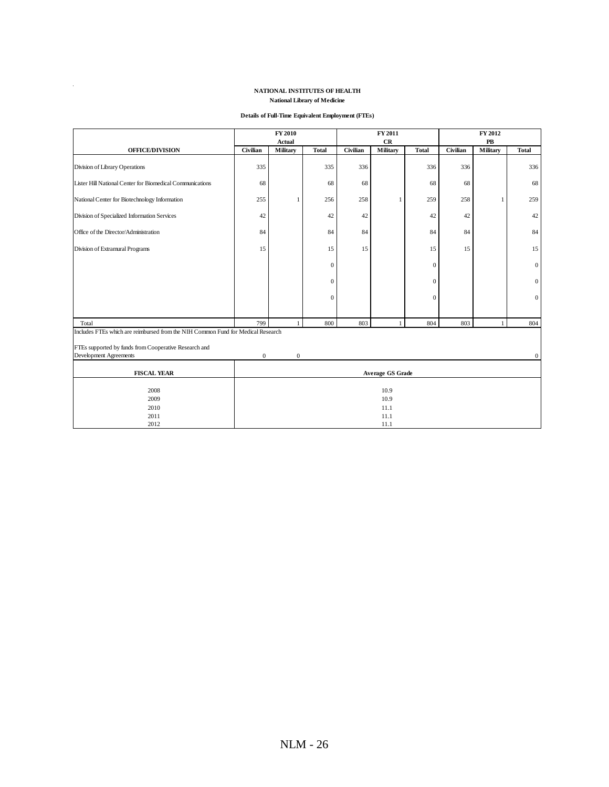#### **NATIONAL INSTITUTES OF HEALTH National Library of Medicine**

 $\mathcal{L}_{\mathcal{L}}$ 

#### **Details of Full-Time Equivalent Employment (FTEs)**

|                                                                                  | FY 2010                 |               | FY 2011      |          |          | FY 2012        |          |                  |              |
|----------------------------------------------------------------------------------|-------------------------|---------------|--------------|----------|----------|----------------|----------|------------------|--------------|
|                                                                                  |                         | <b>Actual</b> |              |          | CR       |                |          | ${\bf P}{\bf B}$ |              |
| <b>OFFICE/DIVISION</b>                                                           | Civilian                | Military      | <b>Total</b> | Civilian | Military | <b>Total</b>   | Civilian | Military         | <b>Total</b> |
| Division of Library Operations                                                   | 335                     |               | 335          | 336      |          | 336            | 336      |                  | 336          |
| Lister Hill National Center for Biomedical Communications                        | 68                      |               | 68           | 68       |          | 68             | 68       |                  | 68           |
| National Center for Biotechnology Information                                    | 255                     |               | 256          | 258      |          | 259            | 258      | 1                | 259          |
| Division of Specialized Information Services                                     | 42                      |               | 42           | 42       |          | 42             | 42       |                  | 42           |
| Office of the Director/Administration                                            | 84                      |               | 84           | 84       |          | 84             | 84       |                  | 84           |
| Division of Extramural Programs                                                  | 15                      |               | 15           | 15       |          | 15             | 15       |                  | 15           |
|                                                                                  |                         |               | $\mathbf{0}$ |          |          | $\theta$       |          |                  | $\mathbf{0}$ |
|                                                                                  |                         |               | $\mathbf{0}$ |          |          | $\overline{0}$ |          |                  | $\mathbf{0}$ |
|                                                                                  |                         |               | $\mathbf{0}$ |          |          | $\overline{0}$ |          |                  | $\mathbf{0}$ |
| Total                                                                            | 799                     |               | 800          | 803      |          | 804            | 803      |                  | 804          |
| Includes FTEs which are reimbursed from the NIH Common Fund for Medical Research |                         |               |              |          |          |                |          |                  |              |
|                                                                                  |                         |               |              |          |          |                |          |                  |              |
| FTEs supported by funds from Cooperative Research and                            |                         |               |              |          |          |                |          |                  |              |
| <b>Development Agreements</b>                                                    | $\boldsymbol{0}$        | $\mathbf{0}$  |              |          |          |                |          |                  | $\Omega$     |
| <b>FISCAL YEAR</b>                                                               | <b>Average GS Grade</b> |               |              |          |          |                |          |                  |              |
| 2008                                                                             | 10.9                    |               |              |          |          |                |          |                  |              |
| 2009                                                                             | 10.9                    |               |              |          |          |                |          |                  |              |
| 2010                                                                             | 11.1                    |               |              |          |          |                |          |                  |              |
| 2011                                                                             | 11.1                    |               |              |          |          |                |          |                  |              |
| 2012                                                                             | 11.1                    |               |              |          |          |                |          |                  |              |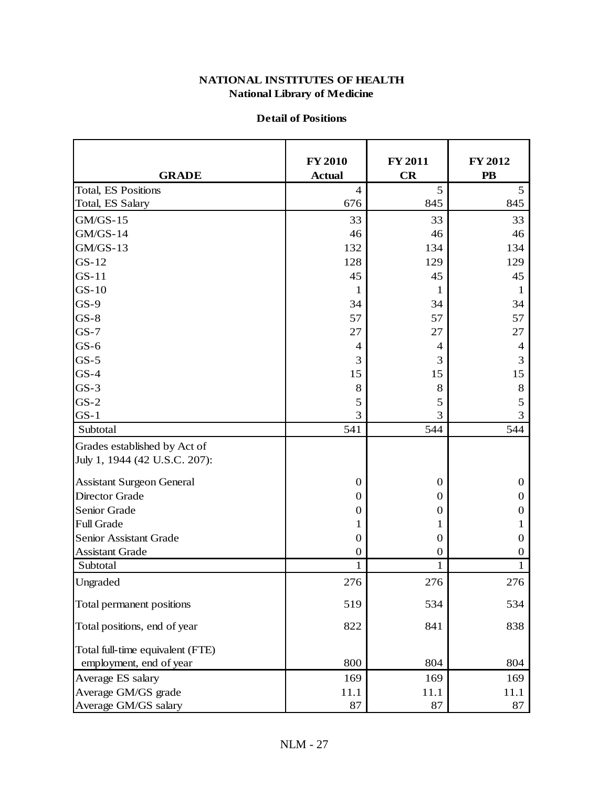#### **National Library of Medicine NATIONAL INSTITUTES OF HEALTH**

#### **Detail of Positions**

|                                  | <b>FY 2010</b>   | <b>FY 2011</b>   | <b>FY 2012</b>         |
|----------------------------------|------------------|------------------|------------------------|
| <b>GRADE</b>                     | <b>Actual</b>    | CR               | $\overline{\text{PB}}$ |
| <b>Total, ES Positions</b>       | $\overline{4}$   | 5                | 5                      |
| Total, ES Salary                 | 676              | 845              | 845                    |
| $GM/GS-15$                       | 33               | 33               | 33                     |
| GM/GS-14                         | 46               | 46               | 46                     |
| GM/GS-13                         | 132              | 134              | 134                    |
| $GS-12$                          | 128              | 129              | 129                    |
| $GS-11$                          | 45               | 45               | 45                     |
| $GS-10$                          | 1                | 1                | 1                      |
| $GS-9$                           | 34               | 34               | 34                     |
| $GS-8$                           | 57               | 57               | 57                     |
| $GS-7$                           | 27               | 27               | 27                     |
| $GS-6$                           | 4                | $\overline{4}$   | 4                      |
| $GS-5$                           | 3                | 3                | 3                      |
| $GS-4$                           | 15               | 15               | 15                     |
| $GS-3$                           | 8                | 8                | $8\,$                  |
| $GS-2$                           | 5                | 5                | 5                      |
| $GS-1$                           | 3                | 3                | 3                      |
| Subtotal                         | 541              | 544              | 544                    |
| Grades established by Act of     |                  |                  |                        |
| July 1, 1944 (42 U.S.C. 207):    |                  |                  |                        |
| <b>Assistant Surgeon General</b> | $\boldsymbol{0}$ | $\boldsymbol{0}$ | $\mathbf{0}$           |
| <b>Director Grade</b>            | $\mathbf 0$      | 0                | $\boldsymbol{0}$       |
| Senior Grade                     | $\boldsymbol{0}$ | 0                | 0                      |
| Full Grade                       | 1                | 1                | 1                      |
| Senior Assistant Grade           | $\boldsymbol{0}$ | $\boldsymbol{0}$ | $\mathbf{0}$           |
| <b>Assistant Grade</b>           | $\mathbf 0$      | 0                | 0                      |
| Subtotal                         | 1                | 1                | 1                      |
| Ungraded                         | 276              | 276              | 276                    |
| Total permanent positions        | 519              | 534              | 534                    |
| Total positions, end of year     | 822              | 841              | 838                    |
| Total full-time equivalent (FTE) |                  |                  |                        |
| employment, end of year          | 800              | 804              | 804                    |
| Average ES salary                | 169              | 169              | 169                    |
| Average GM/GS grade              | 11.1             | 11.1             | 11.1                   |
| Average GM/GS salary             | 87               | 87               | 87                     |